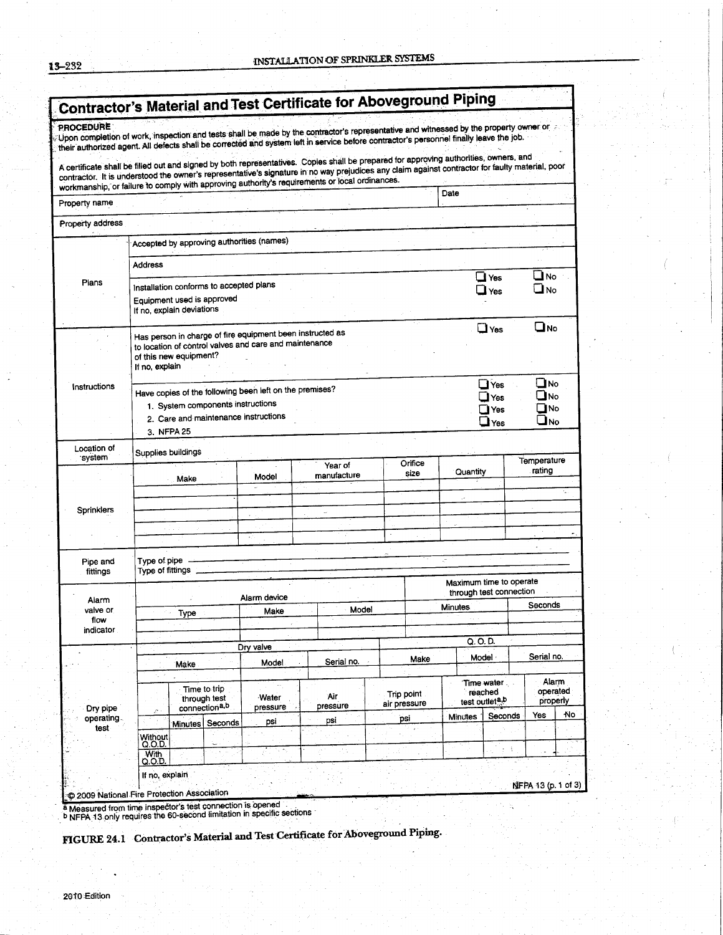| ດ໑໑<br>ہ د |  |  |  |  |  |
|------------|--|--|--|--|--|
|------------|--|--|--|--|--|

|                           |                                                                                                    |      |                      |                                                                                              | Upon completion of work, inspection and tests shall be made by the contractor's representative and witnessed by the property owner or<br>their authorized agent. All defects shall be corrected and system left in service before contractor's personnel finally leave the job.                                                                                                            |                       |                            |                                                                                |                                                    |                       |     |
|---------------------------|----------------------------------------------------------------------------------------------------|------|----------------------|----------------------------------------------------------------------------------------------|--------------------------------------------------------------------------------------------------------------------------------------------------------------------------------------------------------------------------------------------------------------------------------------------------------------------------------------------------------------------------------------------|-----------------------|----------------------------|--------------------------------------------------------------------------------|----------------------------------------------------|-----------------------|-----|
|                           |                                                                                                    |      |                      |                                                                                              | A certificate shall be filled out and signed by both representatives. Copies shall be prepared for approving authorities, owners, and<br>contractor. It is understood the owner's representative's signature in no way prejudices any claim against contractor for faulty material, poor<br>workmanship, or failure to comply with approving authority's requirements or local ordinances. |                       |                            |                                                                                |                                                    |                       |     |
| Property name             |                                                                                                    |      |                      |                                                                                              |                                                                                                                                                                                                                                                                                                                                                                                            |                       | Date                       |                                                                                |                                                    |                       |     |
| Property address          |                                                                                                    |      |                      |                                                                                              |                                                                                                                                                                                                                                                                                                                                                                                            |                       |                            |                                                                                |                                                    |                       |     |
|                           |                                                                                                    |      |                      | Accepted by approving authorities (names)                                                    |                                                                                                                                                                                                                                                                                                                                                                                            |                       |                            |                                                                                |                                                    |                       |     |
|                           | <b>Address</b>                                                                                     |      |                      |                                                                                              |                                                                                                                                                                                                                                                                                                                                                                                            |                       |                            |                                                                                |                                                    |                       |     |
| Plans                     |                                                                                                    |      |                      |                                                                                              |                                                                                                                                                                                                                                                                                                                                                                                            |                       |                            | Yes                                                                            |                                                    |                       | ⊥No |
|                           | Installation conforms to accepted plans<br>Equipment used is approved<br>If no, explain deviations |      |                      |                                                                                              |                                                                                                                                                                                                                                                                                                                                                                                            |                       |                            |                                                                                | Yes                                                | ا No                  |     |
|                           |                                                                                                    |      |                      | Has person in charge of fire equipment been instructed as                                    |                                                                                                                                                                                                                                                                                                                                                                                            |                       |                            |                                                                                | $\Box$ Yes                                         | ❑ю                    |     |
|                           | of this new equipment?<br>If no, explain                                                           |      |                      | to location of control valves and care and maintenance                                       |                                                                                                                                                                                                                                                                                                                                                                                            |                       |                            |                                                                                |                                                    |                       |     |
| Instructions              |                                                                                                    |      |                      | Have copies of the following been left on the premises?<br>1. System components instructions |                                                                                                                                                                                                                                                                                                                                                                                            |                       |                            | $\blacksquare$ No<br>$\Box$ Yes<br>JNo<br>$\exists$ Yes<br>$\square$ No<br>Yes |                                                    |                       |     |
|                           | 2. Care and maintenance instructions<br>$\Box$ Yes<br>3. NFPA 25                                   |      |                      |                                                                                              |                                                                                                                                                                                                                                                                                                                                                                                            |                       |                            |                                                                                | $\square$ No                                       |                       |     |
| Location of<br>system     | Supplies buildings                                                                                 |      |                      |                                                                                              |                                                                                                                                                                                                                                                                                                                                                                                            |                       |                            |                                                                                |                                                    |                       |     |
|                           |                                                                                                    | Make |                      | Model                                                                                        | Year of<br>manufacture                                                                                                                                                                                                                                                                                                                                                                     | Orifice<br>size       |                            | Quantity                                                                       |                                                    | Temperature<br>rating |     |
|                           |                                                                                                    |      |                      |                                                                                              |                                                                                                                                                                                                                                                                                                                                                                                            |                       |                            |                                                                                |                                                    |                       | ÷.  |
| <b>Sprinklers</b>         |                                                                                                    |      |                      |                                                                                              | $\sim$                                                                                                                                                                                                                                                                                                                                                                                     |                       |                            |                                                                                |                                                    |                       |     |
|                           |                                                                                                    |      |                      |                                                                                              |                                                                                                                                                                                                                                                                                                                                                                                            |                       |                            |                                                                                |                                                    |                       |     |
| Pipe and<br>fittings      | Type of pipe<br>Type of fittings _                                                                 |      |                      |                                                                                              |                                                                                                                                                                                                                                                                                                                                                                                            |                       |                            |                                                                                |                                                    |                       |     |
|                           |                                                                                                    |      |                      |                                                                                              |                                                                                                                                                                                                                                                                                                                                                                                            |                       |                            |                                                                                | Maximum time to operate<br>through test connection |                       |     |
| Alarm<br>valve or<br>flow | Type                                                                                               |      | Alarm device<br>Make | Model                                                                                        |                                                                                                                                                                                                                                                                                                                                                                                            | <b>Minutes</b>        |                            |                                                                                | Seconds                                            |                       |     |
| indicator                 |                                                                                                    |      |                      |                                                                                              |                                                                                                                                                                                                                                                                                                                                                                                            |                       |                            | Q. O. D.                                                                       |                                                    |                       |     |
|                           |                                                                                                    |      |                      | Dry valve<br>Model                                                                           | Serial no.                                                                                                                                                                                                                                                                                                                                                                                 | Make                  |                            |                                                                                | Model ·                                            | Serial no.            |     |
|                           | Make<br>Time to trip                                                                               |      |                      |                                                                                              | Trip point                                                                                                                                                                                                                                                                                                                                                                                 | Time water<br>reached |                            |                                                                                | operated                                           | Alarm                 |     |
| Dry pipe                  | through test<br>connection <sup>a,b</sup><br>$\hat{ }$                                             |      | Water<br>pressure    | Air<br>pressure                                                                              | air pressure                                                                                                                                                                                                                                                                                                                                                                               |                       | test outlet <sup>a,b</sup> |                                                                                | properly                                           |                       |     |
| operating.<br>test        |                                                                                                    |      | Minutes Seconds      | psi                                                                                          | psi                                                                                                                                                                                                                                                                                                                                                                                        | psi                   |                            | Minutes                                                                        | Seconds                                            | Yes                   | ٨o  |
|                           | Without<br>Q.O.D.<br>With                                                                          |      |                      | i, n                                                                                         |                                                                                                                                                                                                                                                                                                                                                                                            |                       |                            |                                                                                | ÷                                                  |                       |     |
|                           | Q.O.D.<br>If no, explain                                                                           |      |                      |                                                                                              |                                                                                                                                                                                                                                                                                                                                                                                            |                       |                            |                                                                                |                                                    | NFPA 13 (p. 1 of 3)   |     |

a Measured from time inspector's test connection is opened<br>
D NFPA 13 only requires the 60-second limitation in specific sections

FIGURE 24.1 Contractor's Material and Test Certificate for Aboveground Piping.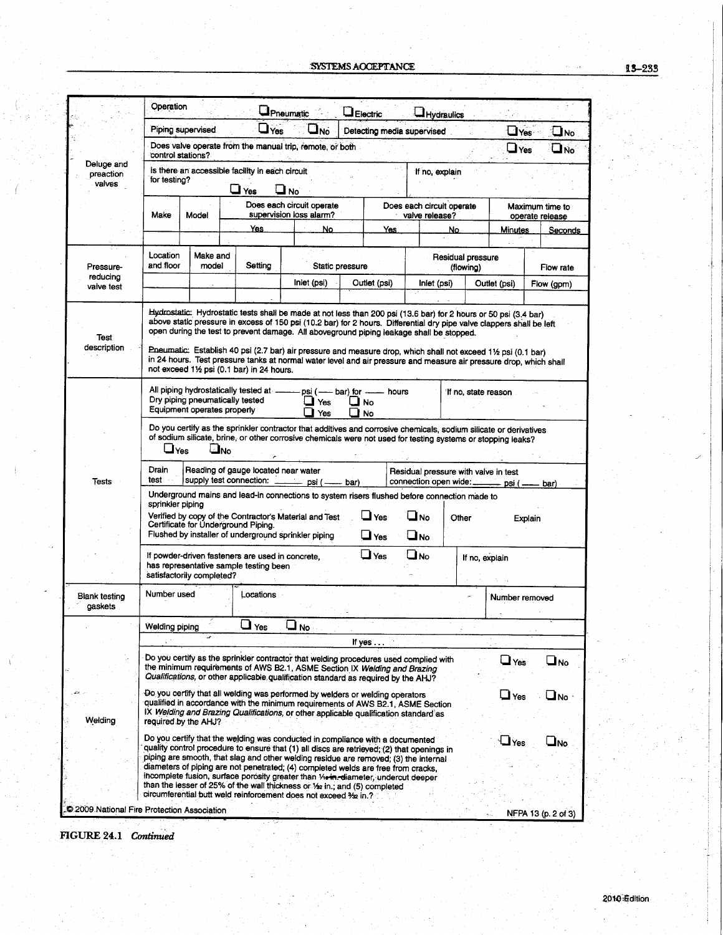|                                           | Operation                                                                                                                                                                              |                                                                |                                                      | Pneumatic <b>Provide</b>                                                                                                                                                                                                                                                                                                                                                                                                                                                                                                                                                                       |                                                               |                                             |                   |                                    |                     |                          |  |  |
|-------------------------------------------|----------------------------------------------------------------------------------------------------------------------------------------------------------------------------------------|----------------------------------------------------------------|------------------------------------------------------|------------------------------------------------------------------------------------------------------------------------------------------------------------------------------------------------------------------------------------------------------------------------------------------------------------------------------------------------------------------------------------------------------------------------------------------------------------------------------------------------------------------------------------------------------------------------------------------------|---------------------------------------------------------------|---------------------------------------------|-------------------|------------------------------------|---------------------|--------------------------|--|--|
|                                           |                                                                                                                                                                                        | Piping supervised                                              | $\mathsf{\blacktriangleleft}$ Yes                    | or L                                                                                                                                                                                                                                                                                                                                                                                                                                                                                                                                                                                           | La Electric                                                   |                                             | <b>Hydraulics</b> |                                    | $\Box$ Yes          | $\square$ No             |  |  |
|                                           | Detecting media supervised<br>Does valve operate from the manual trip, remote, or both<br>control stations?                                                                            |                                                                |                                                      |                                                                                                                                                                                                                                                                                                                                                                                                                                                                                                                                                                                                |                                                               |                                             |                   |                                    |                     | $\sqcup$ Yes<br>`No الما |  |  |
| Deluge and<br>preaction<br>valves         | is there an accessible facility in each circuit<br>If no, explain<br>for testing?<br>Yes<br>No                                                                                         |                                                                |                                                      |                                                                                                                                                                                                                                                                                                                                                                                                                                                                                                                                                                                                |                                                               |                                             |                   |                                    |                     |                          |  |  |
|                                           | Make                                                                                                                                                                                   | Model                                                          | Does each circuit operate<br>supervision loss alarm? |                                                                                                                                                                                                                                                                                                                                                                                                                                                                                                                                                                                                |                                                               | Does each circuit operate<br>valve release? |                   | Maximum time to<br>operate release |                     |                          |  |  |
|                                           |                                                                                                                                                                                        |                                                                | Yes.                                                 | No.                                                                                                                                                                                                                                                                                                                                                                                                                                                                                                                                                                                            | Yes                                                           |                                             | No.               |                                    | <b>Minutes</b>      | <u>Seconds</u>           |  |  |
| Pressure-                                 | Location<br>Make and<br>and floor<br>model                                                                                                                                             |                                                                | Setting                                              |                                                                                                                                                                                                                                                                                                                                                                                                                                                                                                                                                                                                |                                                               | Static pressure                             |                   | Residual pressure<br>(flowing)     |                     | Flow rate                |  |  |
| reducing<br>valve test                    |                                                                                                                                                                                        |                                                                |                                                      | Inlet (psi)                                                                                                                                                                                                                                                                                                                                                                                                                                                                                                                                                                                    |                                                               | Outlet (psi)<br>Inlet (psi)                 |                   |                                    | Outlet (psi)        | Flow (gpm)               |  |  |
| Test<br>description                       |                                                                                                                                                                                        |                                                                | not exceed 11/2 psi (0.1 bar) in 24 hours.           | Hydrostatic: Hydrostatic tests shall be made at not less than 200 psi (13.6 bar) for 2 hours or 50 psi (3.4 bar)<br>above static pressure in excess of 150 psi (10.2 bar) for 2 hours. Differential dry pipe valve clappers shall be left<br>open during the test to prevent damage. All aboveground piping leakage shall be stopped.<br>Pneumatic: Establish 40 psi (2.7 bar) air pressure and measure drop, which shall not exceed 11/2 psi (0.1 bar)<br>in 24 hours. Test pressure tanks at normal water level and air pressure and measure air pressure drop, which shall                  |                                                               |                                             |                   |                                    |                     |                          |  |  |
|                                           |                                                                                                                                                                                        | Dry piping pneumatically tested<br>Equipment operates properly | All piping hydrostatically tested at -               | $\sqcup$ Yes<br>Yes                                                                                                                                                                                                                                                                                                                                                                                                                                                                                                                                                                            | psi (--- bar) for --- hours<br>$\mathbf{\mathsf{u}}$ No<br>No |                                             |                   |                                    | If no, state reason |                          |  |  |
|                                           | ayes ا                                                                                                                                                                                 | ouاك                                                           |                                                      | Do you certify as the sprinkler contractor that additives and corrosive chemicals, sodium silicate or derivatives<br>of sodium silicate, brine, or other corrosive chemicals were not used for testing systems or stopping leaks?                                                                                                                                                                                                                                                                                                                                                              |                                                               |                                             |                   |                                    |                     |                          |  |  |
| Tests                                     | Drain<br>Reading of gauge located near water<br>Residual pressure with valve in test<br>test<br>supply test connection:<br>connection open wide:<br>psi ( –<br>- bar)<br>psi (<br>bar) |                                                                |                                                      |                                                                                                                                                                                                                                                                                                                                                                                                                                                                                                                                                                                                |                                                               |                                             |                   |                                    |                     |                          |  |  |
|                                           | sprinkler piping                                                                                                                                                                       |                                                                | Certificate for Underground Piping.                  | Underground mains and lead-in connections to system risers flushed before connection made to<br>Verified by copy of the Contractor's Material and Test<br>Flushed by installer of underground sprinkler piping                                                                                                                                                                                                                                                                                                                                                                                 | ا Yes<br>نا Yes                                               |                                             | uno<br>u No       | Other                              |                     | Explain                  |  |  |
|                                           | ا No<br>If powder-driven fasteners are used in concrete.<br>Yes<br>If no, explain<br>has representative sample testing been<br>satisfactorily completed?                               |                                                                |                                                      |                                                                                                                                                                                                                                                                                                                                                                                                                                                                                                                                                                                                |                                                               |                                             |                   |                                    |                     |                          |  |  |
| Blank testing<br>gaskets                  | Number used                                                                                                                                                                            |                                                                | Locations                                            |                                                                                                                                                                                                                                                                                                                                                                                                                                                                                                                                                                                                |                                                               |                                             |                   |                                    | Number removed      |                          |  |  |
|                                           | Welding piping                                                                                                                                                                         |                                                                | $\Box$ Yes                                           | No اــ                                                                                                                                                                                                                                                                                                                                                                                                                                                                                                                                                                                         |                                                               |                                             |                   |                                    |                     |                          |  |  |
|                                           |                                                                                                                                                                                        |                                                                |                                                      |                                                                                                                                                                                                                                                                                                                                                                                                                                                                                                                                                                                                | If yes                                                        |                                             |                   |                                    |                     |                          |  |  |
|                                           |                                                                                                                                                                                        |                                                                |                                                      | Do you certify as the sprinkler contractor that welding procedures used complied with<br>the minimum requirements of AWS B2.1, ASME Section IX Welding and Brazing<br>Qualifications, or other applicable qualification standard as required by the AHJ?                                                                                                                                                                                                                                                                                                                                       |                                                               |                                             |                   |                                    | $\Box$ Yes          | $\square_{\sf No}$       |  |  |
| Welding                                   |                                                                                                                                                                                        | required by the AHJ?                                           |                                                      | Do you certify that all welding was performed by welders or welding operators<br>qualified in accordance with the minimum requirements of AWS B2.1, ASME Section<br>IX Welding and Brazing Qualifications, or other applicable qualification standard as                                                                                                                                                                                                                                                                                                                                       |                                                               |                                             |                   |                                    | $\Box$ Yes          | Ono                      |  |  |
|                                           |                                                                                                                                                                                        |                                                                |                                                      | Do you certify that the welding was conducted in compliance with a documented<br>quality control procedure to ensure that (1) all discs are retrieved; (2) that openings in<br>piping are smooth, that slag and other welding residue are removed; (3) the internal<br>diameters of piping are not penetrated; (4) completed welds are free from cracks,<br>incomplete fusion, surface porosity greater than Vienn-diameter, undercut deeper<br>than the lesser of 25% of the wall thickness or 1/22 in.; and (5) completed<br>circumferential butt weld reinforcement does not exceed 3% in ? |                                                               |                                             |                   |                                    | $\Box$ Yes          | $\square_{\sf No}$       |  |  |
| 2009 National Fire Protection Association |                                                                                                                                                                                        |                                                                |                                                      |                                                                                                                                                                                                                                                                                                                                                                                                                                                                                                                                                                                                |                                                               |                                             |                   |                                    |                     | NFPA 13 (p. 2 of 3)      |  |  |